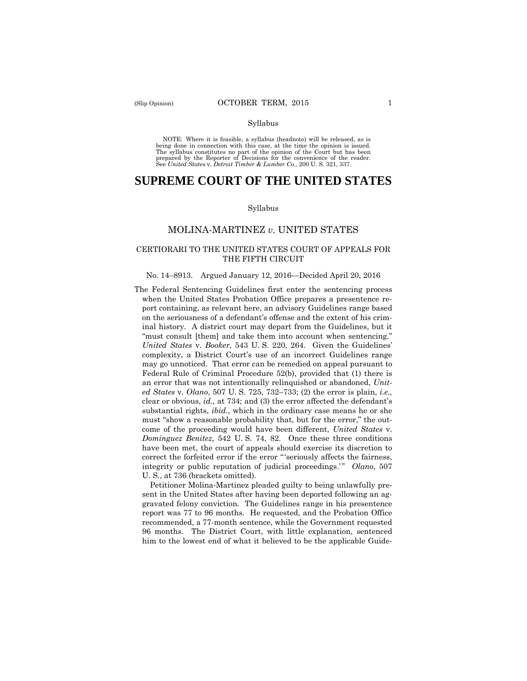#### Syllabus

 NOTE: Where it is feasible, a syllabus (headnote) will be released, as is being done in connection with this case, at the time the opinion is issued. The syllabus constitutes no part of the opinion of the Court but has been<br>prepared by the Reporter of Decisions for the convenience of the reader.<br>See United States v. Detroit Timber & Lumber Co., 200 U.S. 321, 337.

# **SUPREME COURT OF THE UNITED STATES**

#### Syllabus

## MOLINA-MARTINEZ *v*. UNITED STATES

## CERTIORARI TO THE UNITED STATES COURT OF APPEALS FOR THE FIFTH CIRCUIT

#### No. 14–8913. Argued January 12, 2016—Decided April 20, 2016

The Federal Sentencing Guidelines first enter the sentencing process when the United States Probation Office prepares a presentence report containing, as relevant here, an advisory Guidelines range based on the seriousness of a defendant's offense and the extent of his criminal history. A district court may depart from the Guidelines, but it "must consult [them] and take them into account when sentencing." *United States* v. *Booker*, 543 U. S. 220, 264. Given the Guidelines' complexity, a District Court's use of an incorrect Guidelines range may go unnoticed. That error can be remedied on appeal pursuant to Federal Rule of Criminal Procedure 52(b), provided that (1) there is an error that was not intentionally relinquished or abandoned, *United States* v. *Olano*, 507 U. S. 725, 732–733; (2) the error is plain, *i.e.,*  clear or obvious, *id.,* at 734; and (3) the error affected the defendant's substantial rights, *ibid.*, which in the ordinary case means he or she must "show a reasonable probability that, but for the error," the outcome of the proceeding would have been different, *United States* v. *Dominguez Benitez*, 542 U. S. 74, 82. Once these three conditions have been met, the court of appeals should exercise its discretion to correct the forfeited error if the error "'seriously affects the fairness, integrity or public reputation of judicial proceedings." Olano, 507 U. S., at 736 (brackets omitted).

 Petitioner Molina-Martinez pleaded guilty to being unlawfully present in the United States after having been deported following an aggravated felony conviction. The Guidelines range in his presentence report was 77 to 96 months. He requested, and the Probation Office recommended, a 77-month sentence, while the Government requested 96 months. The District Court, with little explanation, sentenced him to the lowest end of what it believed to be the applicable Guide-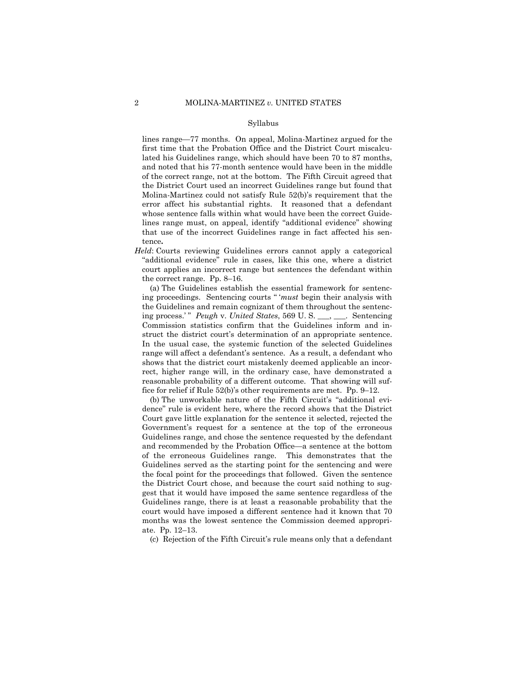#### Syllabus

lines range—77 months. On appeal, Molina-Martinez argued for the first time that the Probation Office and the District Court miscalculated his Guidelines range, which should have been 70 to 87 months, and noted that his 77-month sentence would have been in the middle of the correct range, not at the bottom. The Fifth Circuit agreed that the District Court used an incorrect Guidelines range but found that Molina-Martinez could not satisfy Rule 52(b)'s requirement that the error affect his substantial rights. It reasoned that a defendant whose sentence falls within what would have been the correct Guidelines range must, on appeal, identify "additional evidence" showing that use of the incorrect Guidelines range in fact affected his sentence**.** 

*Held*: Courts reviewing Guidelines errors cannot apply a categorical "additional evidence" rule in cases, like this one, where a district court applies an incorrect range but sentences the defendant within the correct range. Pp. 8–16.

(a) The Guidelines establish the essential framework for sentencing proceedings. Sentencing courts " '*must* begin their analysis with the Guidelines and remain cognizant of them throughout the sentencing process.'" *Peugh v. United States*, 569 U.S. \_\_\_, \_\_\_. Sentencing Commission statistics confirm that the Guidelines inform and instruct the district court's determination of an appropriate sentence. In the usual case, the systemic function of the selected Guidelines range will affect a defendant's sentence. As a result, a defendant who shows that the district court mistakenly deemed applicable an incorrect, higher range will, in the ordinary case, have demonstrated a reasonable probability of a different outcome. That showing will suffice for relief if Rule 52(b)'s other requirements are met. Pp. 9–12.

(b) The unworkable nature of the Fifth Circuit's "additional evidence" rule is evident here, where the record shows that the District Court gave little explanation for the sentence it selected, rejected the Government's request for a sentence at the top of the erroneous Guidelines range, and chose the sentence requested by the defendant and recommended by the Probation Office—a sentence at the bottom of the erroneous Guidelines range. This demonstrates that the Guidelines served as the starting point for the sentencing and were the focal point for the proceedings that followed. Given the sentence the District Court chose, and because the court said nothing to suggest that it would have imposed the same sentence regardless of the Guidelines range, there is at least a reasonable probability that the court would have imposed a different sentence had it known that 70 months was the lowest sentence the Commission deemed appropriate. Pp. 12–13.

(c) Rejection of the Fifth Circuit's rule means only that a defendant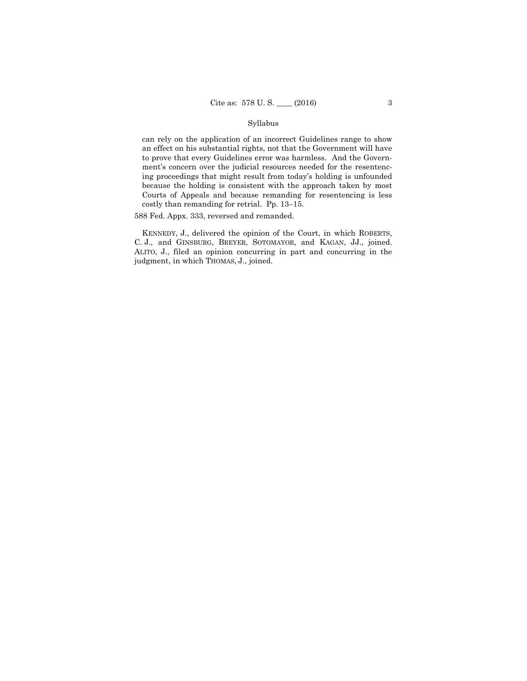## Syllabus

 ing proceedings that might result from today's holding is unfounded can rely on the application of an incorrect Guidelines range to show an effect on his substantial rights, not that the Government will have to prove that every Guidelines error was harmless. And the Government's concern over the judicial resources needed for the resentencbecause the holding is consistent with the approach taken by most Courts of Appeals and because remanding for resentencing is less costly than remanding for retrial. Pp. 13–15.

588 Fed. Appx. 333, reversed and remanded.

 KENNEDY, J., delivered the opinion of the Court, in which ROBERTS, C. J., and GINSBURG, BREYER, SOTOMAYOR, and KAGAN, JJ., joined. ALITO, J., filed an opinion concurring in part and concurring in the judgment, in which THOMAS, J., joined.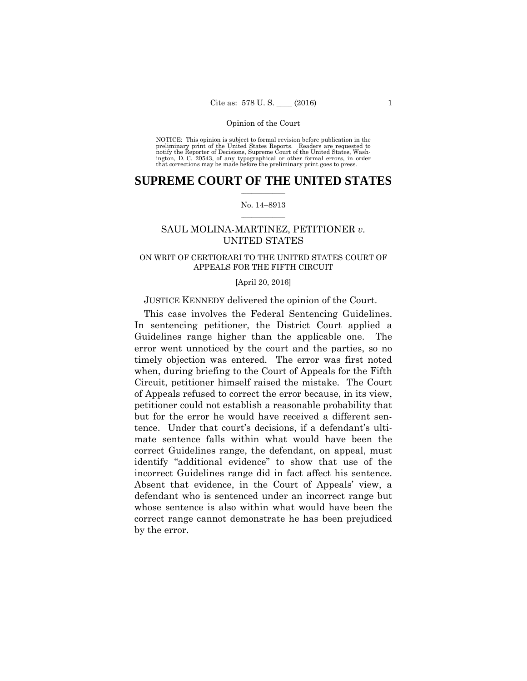preliminary print of the United States Reports. Readers are requested to notify the Reporter of Decisions, Supreme Court of the United States, Wash- ington, D. C. 20543, of any typographical or other formal errors, in order that corrections may be made before the preliminary print goes to press. NOTICE: This opinion is subject to formal revision before publication in the

## $\frac{1}{2}$  ,  $\frac{1}{2}$  ,  $\frac{1}{2}$  ,  $\frac{1}{2}$  ,  $\frac{1}{2}$  ,  $\frac{1}{2}$  ,  $\frac{1}{2}$ **SUPREME COURT OF THE UNITED STATES**

## $\frac{1}{2}$  ,  $\frac{1}{2}$  ,  $\frac{1}{2}$  ,  $\frac{1}{2}$  ,  $\frac{1}{2}$  ,  $\frac{1}{2}$ No. 14–8913

# SAUL MOLINA-MARTINEZ, PETITIONER *v.* UNITED STATES

## ON WRIT OF CERTIORARI TO THE UNITED STATES COURT OF APPEALS FOR THE FIFTH CIRCUIT

## [April 20, 2016]

## JUSTICE KENNEDY delivered the opinion of the Court.

 This case involves the Federal Sentencing Guidelines. In sentencing petitioner, the District Court applied a Guidelines range higher than the applicable one. The error went unnoticed by the court and the parties, so no timely objection was entered. The error was first noted when, during briefing to the Court of Appeals for the Fifth Circuit, petitioner himself raised the mistake. The Court of Appeals refused to correct the error because, in its view, petitioner could not establish a reasonable probability that but for the error he would have received a different sentence. Under that court's decisions, if a defendant's ultimate sentence falls within what would have been the correct Guidelines range, the defendant, on appeal, must identify "additional evidence" to show that use of the incorrect Guidelines range did in fact affect his sentence. Absent that evidence, in the Court of Appeals' view, a defendant who is sentenced under an incorrect range but whose sentence is also within what would have been the correct range cannot demonstrate he has been prejudiced by the error.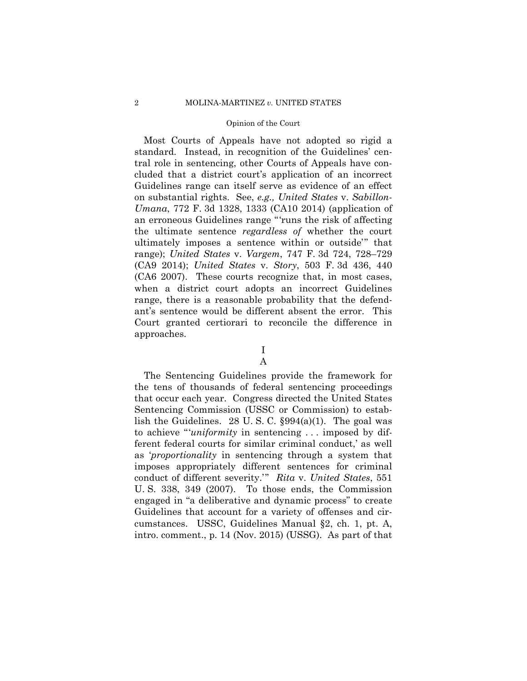Most Courts of Appeals have not adopted so rigid a standard. Instead, in recognition of the Guidelines' central role in sentencing, other Courts of Appeals have concluded that a district court's application of an incorrect Guidelines range can itself serve as evidence of an effect on substantial rights. See, *e.g., United States* v. *Sabillon-Umana*, 772 F. 3d 1328, 1333 (CA10 2014) (application of an erroneous Guidelines range "'runs the risk of affecting the ultimate sentence *regardless of* whether the court ultimately imposes a sentence within or outside'" that range); *United States* v. *Vargem*, 747 F. 3d 724, 728–729 (CA9 2014); *United States* v. *Story*, 503 F. 3d 436, 440 (CA6 2007). These courts recognize that, in most cases, when a district court adopts an incorrect Guidelines range, there is a reasonable probability that the defendant's sentence would be different absent the error. This Court granted certiorari to reconcile the difference in approaches.

I

# A

The Sentencing Guidelines provide the framework for the tens of thousands of federal sentencing proceedings that occur each year. Congress directed the United States Sentencing Commission (USSC or Commission) to establish the Guidelines. 28 U. S. C. §994(a)(1). The goal was to achieve "'*uniformity* in sentencing . . . imposed by different federal courts for similar criminal conduct,' as well as '*proportionality* in sentencing through a system that imposes appropriately different sentences for criminal conduct of different severity.'" *Rita* v. *United States*, 551 U. S. 338, 349 (2007). To those ends, the Commission engaged in "a deliberative and dynamic process" to create Guidelines that account for a variety of offenses and circumstances. USSC, Guidelines Manual §2, ch. 1, pt. A, intro. comment., p. 14 (Nov. 2015) (USSG). As part of that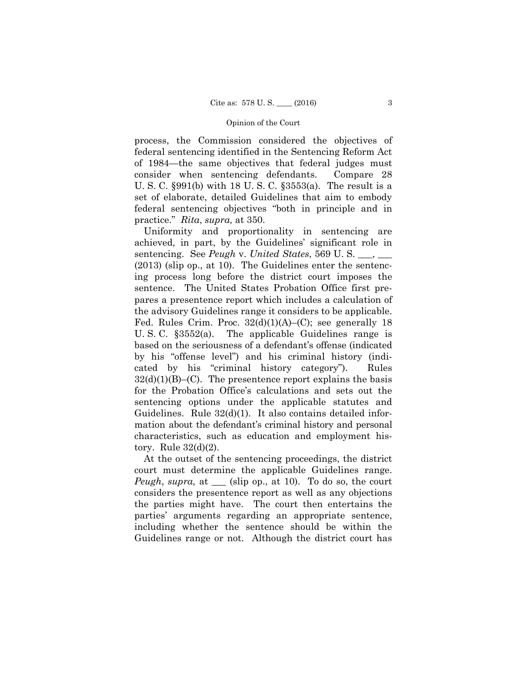process, the Commission considered the objectives of federal sentencing identified in the Sentencing Reform Act of 1984—the same objectives that federal judges must consider when sentencing defendants. Compare 28 U. S. C. §991(b) with 18 U. S. C. §3553(a). The result is a set of elaborate, detailed Guidelines that aim to embody federal sentencing objectives "both in principle and in practice." *Rita*, *supra,* at 350.

Uniformity and proportionality in sentencing are achieved, in part, by the Guidelines' significant role in sentencing. See *Peugh* v. *United States*, 569 U. S. \_\_\_, \_\_\_ (2013) (slip op., at 10). The Guidelines enter the sentencing process long before the district court imposes the sentence. The United States Probation Office first prepares a presentence report which includes a calculation of the advisory Guidelines range it considers to be applicable. Fed. Rules Crim. Proc.  $32(d)(1)(A)$ –(C); see generally 18 U. S. C. §3552(a). The applicable Guidelines range is based on the seriousness of a defendant's offense (indicated by his "offense level") and his criminal history (indicated by his "criminal history category"). Rules  $32(d)(1)(B)$ –(C). The presentence report explains the basis for the Probation Office's calculations and sets out the sentencing options under the applicable statutes and Guidelines. Rule 32(d)(1). It also contains detailed information about the defendant's criminal history and personal characteristics, such as education and employment history. Rule 32(d)(2).

At the outset of the sentencing proceedings, the district court must determine the applicable Guidelines range. *Peugh*, *supra,* at \_\_\_ (slip op., at 10). To do so, the court considers the presentence report as well as any objections the parties might have. The court then entertains the parties' arguments regarding an appropriate sentence, including whether the sentence should be within the Guidelines range or not. Although the district court has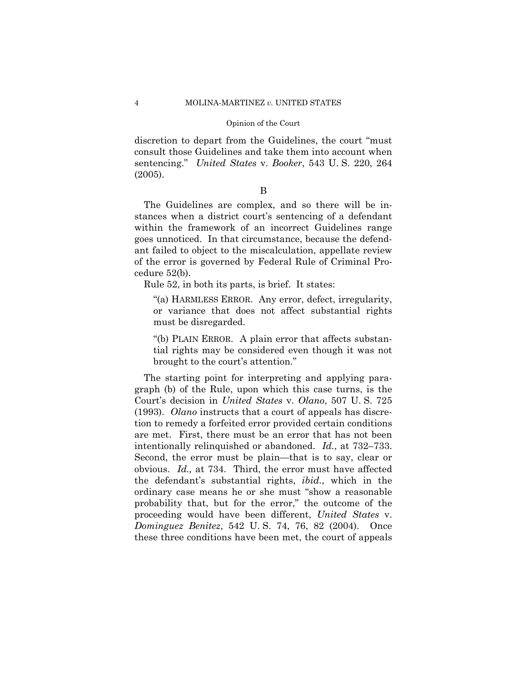discretion to depart from the Guidelines, the court "must consult those Guidelines and take them into account when sentencing." *United States* v. *Booker*, 543 U. S. 220, 264 (2005).

## B

The Guidelines are complex, and so there will be instances when a district court's sentencing of a defendant within the framework of an incorrect Guidelines range goes unnoticed. In that circumstance, because the defendant failed to object to the miscalculation, appellate review of the error is governed by Federal Rule of Criminal Procedure 52(b).

Rule 52, in both its parts, is brief. It states:

"(a) HARMLESS ERROR. Any error, defect, irregularity, or variance that does not affect substantial rights must be disregarded.

"(b) PLAIN ERROR. A plain error that affects substantial rights may be considered even though it was not brought to the court's attention."

The starting point for interpreting and applying paragraph (b) of the Rule, upon which this case turns, is the Court's decision in *United States* v. *Olano*, 507 U. S. 725 (1993). *Olano* instructs that a court of appeals has discretion to remedy a forfeited error provided certain conditions are met. First, there must be an error that has not been intentionally relinquished or abandoned. *Id.*, at 732–733. Second, the error must be plain—that is to say, clear or obvious. *Id.,* at 734. Third, the error must have affected the defendant's substantial rights, *ibid.*, which in the ordinary case means he or she must "show a reasonable probability that, but for the error," the outcome of the proceeding would have been different, *United States* v. *Dominguez Benitez*, 542 U. S. 74, 76, 82 (2004). Once these three conditions have been met, the court of appeals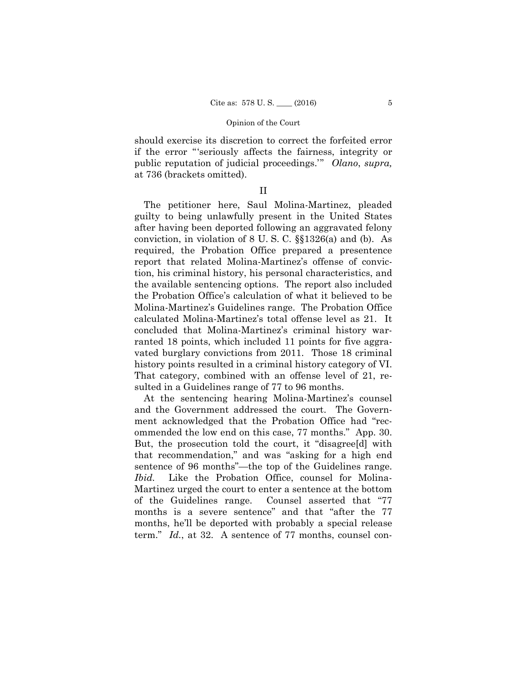should exercise its discretion to correct the forfeited error if the error "'seriously affects the fairness, integrity or public reputation of judicial proceedings.'" *Olano*, *supra,*  at 736 (brackets omitted).

## II

The petitioner here, Saul Molina-Martinez, pleaded guilty to being unlawfully present in the United States after having been deported following an aggravated felony conviction, in violation of 8 U. S. C. §§1326(a) and (b). As required, the Probation Office prepared a presentence report that related Molina-Martinez's offense of conviction, his criminal history, his personal characteristics, and the available sentencing options. The report also included the Probation Office's calculation of what it believed to be Molina-Martinez's Guidelines range. The Probation Office calculated Molina-Martinez's total offense level as 21. It concluded that Molina-Martinez's criminal history warranted 18 points, which included 11 points for five aggravated burglary convictions from 2011. Those 18 criminal history points resulted in a criminal history category of VI. That category, combined with an offense level of 21, resulted in a Guidelines range of 77 to 96 months.

At the sentencing hearing Molina-Martinez's counsel and the Government addressed the court. The Government acknowledged that the Probation Office had "recommended the low end on this case, 77 months." App. 30. But, the prosecution told the court, it "disagree[d] with that recommendation," and was "asking for a high end sentence of 96 months"—the top of the Guidelines range. *Ibid.* Like the Probation Office, counsel for Molina-Martinez urged the court to enter a sentence at the bottom of the Guidelines range. Counsel asserted that "77 months is a severe sentence" and that "after the 77 months, he'll be deported with probably a special release term." *Id.*, at 32. A sentence of 77 months, counsel con-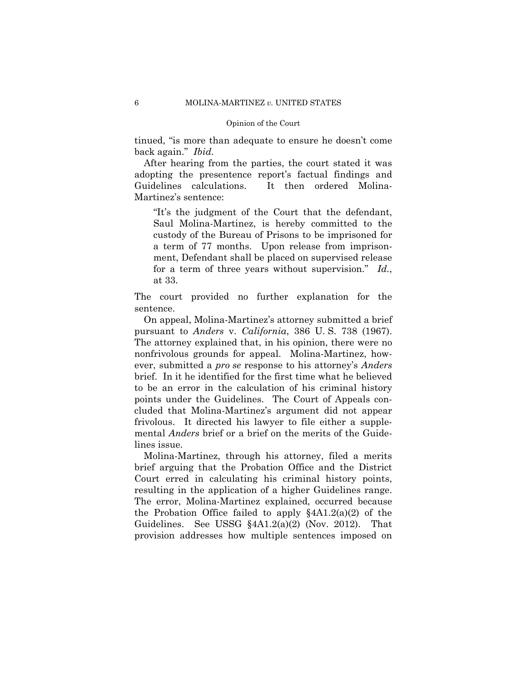tinued, "is more than adequate to ensure he doesn't come back again." *Ibid.* 

After hearing from the parties, the court stated it was adopting the presentence report's factual findings and Guidelines calculations. It then ordered Molina-Martinez's sentence:

"It's the judgment of the Court that the defendant, Saul Molina-Martinez, is hereby committed to the custody of the Bureau of Prisons to be imprisoned for a term of 77 months. Upon release from imprisonment, Defendant shall be placed on supervised release for a term of three years without supervision." *Id.*, at 33.

The court provided no further explanation for the sentence.

On appeal, Molina-Martinez's attorney submitted a brief pursuant to *Anders* v. *California*, 386 U. S. 738 (1967). The attorney explained that, in his opinion, there were no nonfrivolous grounds for appeal. Molina-Martinez, however, submitted a *pro se* response to his attorney's *Anders*  brief. In it he identified for the first time what he believed to be an error in the calculation of his criminal history points under the Guidelines. The Court of Appeals concluded that Molina-Martinez's argument did not appear frivolous. It directed his lawyer to file either a supplemental *Anders* brief or a brief on the merits of the Guidelines issue.

Molina-Martinez, through his attorney, filed a merits brief arguing that the Probation Office and the District Court erred in calculating his criminal history points, resulting in the application of a higher Guidelines range. The error, Molina-Martinez explained, occurred because the Probation Office failed to apply  $§4A1.2(a)(2)$  of the Guidelines. See USSG §4A1.2(a)(2) (Nov. 2012). That provision addresses how multiple sentences imposed on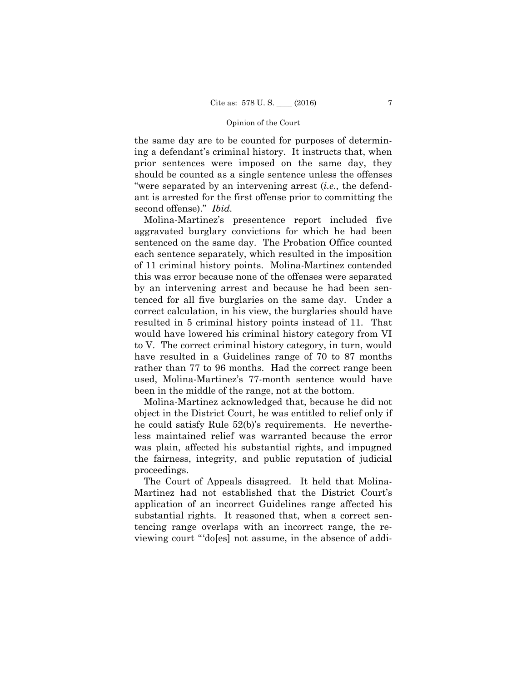the same day are to be counted for purposes of determining a defendant's criminal history. It instructs that, when prior sentences were imposed on the same day, they should be counted as a single sentence unless the offenses "were separated by an intervening arrest (*i.e.,* the defendant is arrested for the first offense prior to committing the second offense)." *Ibid.* 

Molina-Martinez's presentence report included five aggravated burglary convictions for which he had been sentenced on the same day. The Probation Office counted each sentence separately, which resulted in the imposition of 11 criminal history points. Molina-Martinez contended this was error because none of the offenses were separated by an intervening arrest and because he had been sentenced for all five burglaries on the same day. Under a correct calculation, in his view, the burglaries should have resulted in 5 criminal history points instead of 11. That would have lowered his criminal history category from VI to V. The correct criminal history category, in turn, would have resulted in a Guidelines range of 70 to 87 months rather than 77 to 96 months. Had the correct range been used, Molina-Martinez's 77-month sentence would have been in the middle of the range, not at the bottom.

Molina-Martinez acknowledged that, because he did not object in the District Court, he was entitled to relief only if he could satisfy Rule 52(b)'s requirements. He nevertheless maintained relief was warranted because the error was plain, affected his substantial rights, and impugned the fairness, integrity, and public reputation of judicial proceedings.

The Court of Appeals disagreed. It held that Molina-Martinez had not established that the District Court's application of an incorrect Guidelines range affected his substantial rights. It reasoned that, when a correct sentencing range overlaps with an incorrect range, the reviewing court "'do[es] not assume, in the absence of addi-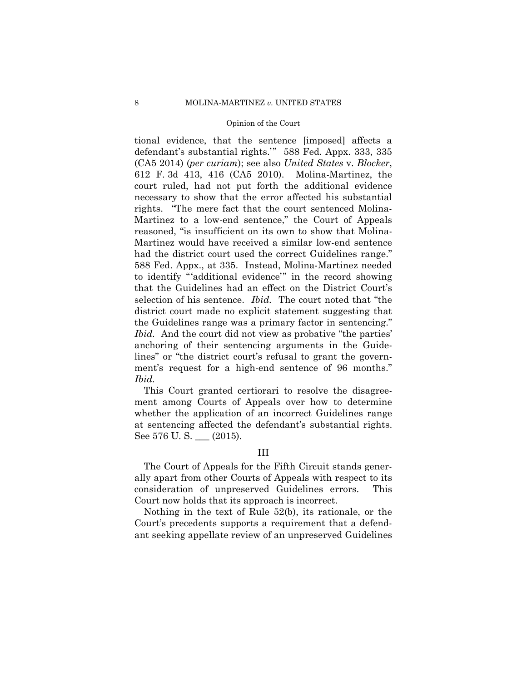tional evidence, that the sentence [imposed] affects a defendant's substantial rights.'" 588 Fed. Appx. 333, 335 (CA5 2014) (*per curiam*); see also *United States* v. *Blocker*, 612 F. 3d 413, 416 (CA5 2010). Molina-Martinez, the court ruled, had not put forth the additional evidence necessary to show that the error affected his substantial rights. "The mere fact that the court sentenced Molina-Martinez to a low-end sentence," the Court of Appeals reasoned, "is insufficient on its own to show that Molina-Martinez would have received a similar low-end sentence had the district court used the correct Guidelines range." 588 Fed. Appx., at 335. Instead, Molina-Martinez needed to identify "'additional evidence'" in the record showing that the Guidelines had an effect on the District Court's selection of his sentence. *Ibid.* The court noted that "the district court made no explicit statement suggesting that the Guidelines range was a primary factor in sentencing." *Ibid.* And the court did not view as probative "the parties' anchoring of their sentencing arguments in the Guidelines" or "the district court's refusal to grant the government's request for a high-end sentence of 96 months." *Ibid.* 

This Court granted certiorari to resolve the disagreement among Courts of Appeals over how to determine whether the application of an incorrect Guidelines range at sentencing affected the defendant's substantial rights. See 576 U.S. \_\_ (2015).

## III

The Court of Appeals for the Fifth Circuit stands generally apart from other Courts of Appeals with respect to its consideration of unpreserved Guidelines errors. This Court now holds that its approach is incorrect.

Nothing in the text of Rule 52(b), its rationale, or the Court's precedents supports a requirement that a defendant seeking appellate review of an unpreserved Guidelines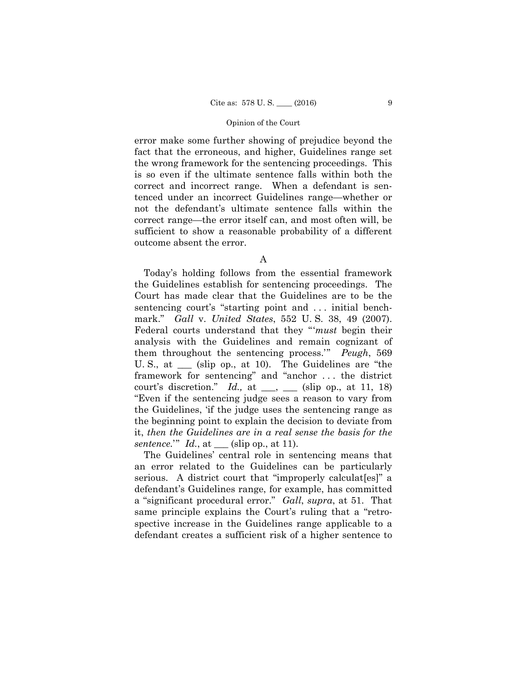error make some further showing of prejudice beyond the fact that the erroneous, and higher, Guidelines range set the wrong framework for the sentencing proceedings. This is so even if the ultimate sentence falls within both the correct and incorrect range. When a defendant is sentenced under an incorrect Guidelines range—whether or not the defendant's ultimate sentence falls within the correct range—the error itself can, and most often will, be sufficient to show a reasonable probability of a different outcome absent the error.

A

 it, *then the Guidelines are in a real sense the basis for the*  Today's holding follows from the essential framework the Guidelines establish for sentencing proceedings. The Court has made clear that the Guidelines are to be the sentencing court's "starting point and ... initial benchmark." *Gall* v. *United States*, 552 U. S. 38, 49 (2007). Federal courts understand that they "'*must* begin their analysis with the Guidelines and remain cognizant of them throughout the sentencing process.'" *Peugh*, 569 U. S., at (slip op., at 10). The Guidelines are "the framework for sentencing" and "anchor . . . the district court's discretion." *Id.*, at  $\_\_\_$ ,  $\_\_\_\$  (slip op., at 11, 18) "Even if the sentencing judge sees a reason to vary from the Guidelines, 'if the judge uses the sentencing range as the beginning point to explain the decision to deviate from *sentence.*'" *Id.*, at \_\_\_ (slip op., at 11).

The Guidelines' central role in sentencing means that an error related to the Guidelines can be particularly serious. A district court that "improperly calculaters" a defendant's Guidelines range, for example, has committed a "significant procedural error." *Gall*, *supra*, at 51. That same principle explains the Court's ruling that a "retrospective increase in the Guidelines range applicable to a defendant creates a sufficient risk of a higher sentence to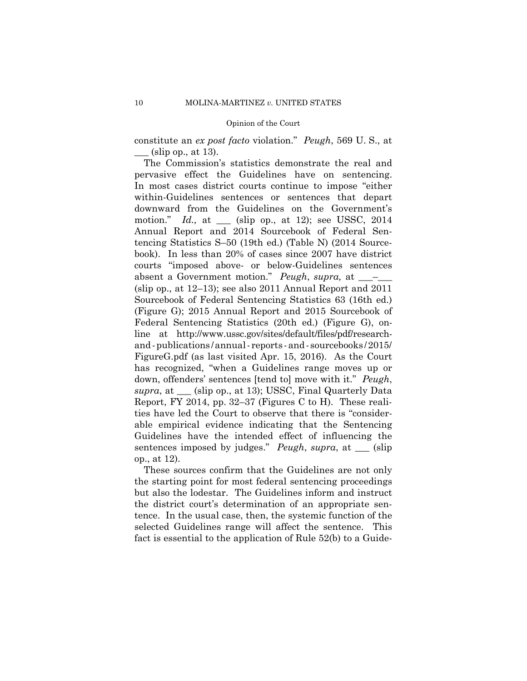constitute an *ex post facto* violation." *Peugh*, 569 U. S., at  $_{\text{-}}$  (slip op., at 13).

 and-publications /annual-reports-and- sourcebooks /2015/ The Commission's statistics demonstrate the real and pervasive effect the Guidelines have on sentencing. In most cases district courts continue to impose "either within-Guidelines sentences or sentences that depart downward from the Guidelines on the Government's motion." *Id.,* at \_\_\_ (slip op., at 12); see USSC, 2014 Annual Report and 2014 Sourcebook of Federal Sentencing Statistics S–50 (19th ed.) (Table N) (2014 Sourcebook). In less than 20% of cases since 2007 have district courts "imposed above- or below-Guidelines sentences absent a Government motion." *Peugh*, *supra*, at \_\_\_\_ (slip op., at 12–13); see also 2011 Annual Report and 2011 Sourcebook of Federal Sentencing Statistics 63 (16th ed.) (Figure G); 2015 Annual Report and 2015 Sourcebook of Federal Sentencing Statistics (20th ed.) (Figure G), online at http://www.ussc.gov/sites/default/files/pdf/research-FigureG.pdf (as last visited Apr. 15, 2016). As the Court has recognized, "when a Guidelines range moves up or down, offenders' sentences [tend to] move with it." *Peugh*, *supra*, at \_\_\_ (slip op., at 13); USSC, Final Quarterly Data Report, FY 2014, pp. 32–37 (Figures C to H). These realities have led the Court to observe that there is "considerable empirical evidence indicating that the Sentencing Guidelines have the intended effect of influencing the sentences imposed by judges." *Peugh*, *supra*, at \_\_\_ (slip op., at 12).

These sources confirm that the Guidelines are not only the starting point for most federal sentencing proceedings but also the lodestar. The Guidelines inform and instruct the district court's determination of an appropriate sentence. In the usual case, then, the systemic function of the selected Guidelines range will affect the sentence. This fact is essential to the application of Rule 52(b) to a Guide-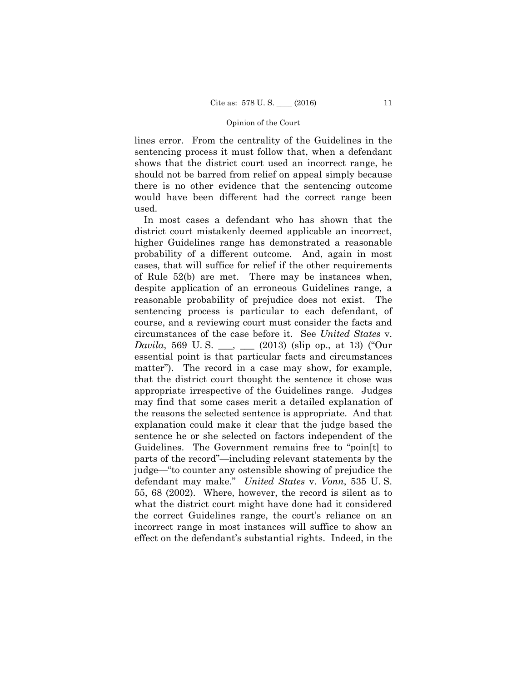lines error. From the centrality of the Guidelines in the sentencing process it must follow that, when a defendant shows that the district court used an incorrect range, he should not be barred from relief on appeal simply because there is no other evidence that the sentencing outcome would have been different had the correct range been used.

 defendant may make." *United States* v. *Vonn*, 535 U. S. In most cases a defendant who has shown that the district court mistakenly deemed applicable an incorrect, higher Guidelines range has demonstrated a reasonable probability of a different outcome. And, again in most cases, that will suffice for relief if the other requirements of Rule 52(b) are met. There may be instances when, despite application of an erroneous Guidelines range, a reasonable probability of prejudice does not exist. The sentencing process is particular to each defendant, of course, and a reviewing court must consider the facts and circumstances of the case before it. See *United States* v. *Davila*, 569 U.S. \_\_, \_\_ (2013) (slip op., at 13) ("Our essential point is that particular facts and circumstances matter"). The record in a case may show, for example, that the district court thought the sentence it chose was appropriate irrespective of the Guidelines range. Judges may find that some cases merit a detailed explanation of the reasons the selected sentence is appropriate. And that explanation could make it clear that the judge based the sentence he or she selected on factors independent of the Guidelines. The Government remains free to "poin[t] to parts of the record"—including relevant statements by the judge—"to counter any ostensible showing of prejudice the 55, 68 (2002). Where, however, the record is silent as to what the district court might have done had it considered the correct Guidelines range, the court's reliance on an incorrect range in most instances will suffice to show an effect on the defendant's substantial rights. Indeed, in the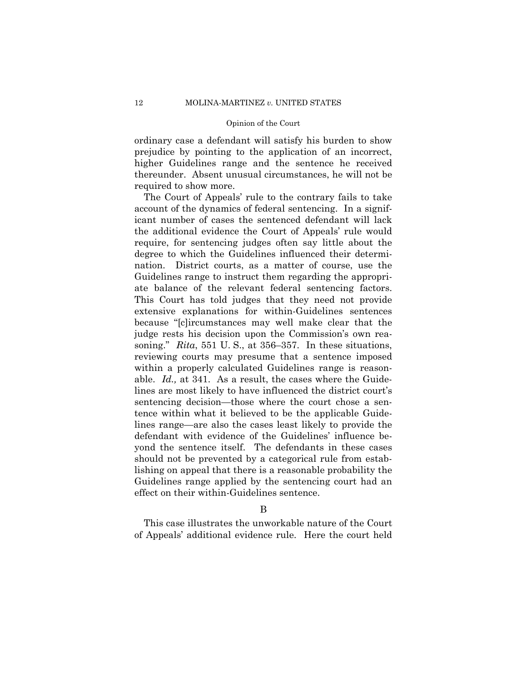ordinary case a defendant will satisfy his burden to show prejudice by pointing to the application of an incorrect, higher Guidelines range and the sentence he received thereunder. Absent unusual circumstances, he will not be required to show more.

 ate balance of the relevant federal sentencing factors. able. *Id.*, at 341. As a result, the cases where the Guide-The Court of Appeals' rule to the contrary fails to take account of the dynamics of federal sentencing. In a significant number of cases the sentenced defendant will lack the additional evidence the Court of Appeals' rule would require, for sentencing judges often say little about the degree to which the Guidelines influenced their determination. District courts, as a matter of course, use the Guidelines range to instruct them regarding the appropri-This Court has told judges that they need not provide extensive explanations for within-Guidelines sentences because "[c]ircumstances may well make clear that the judge rests his decision upon the Commission's own reasoning." *Rita*, 551 U. S., at 356–357. In these situations, reviewing courts may presume that a sentence imposed within a properly calculated Guidelines range is reasonlines are most likely to have influenced the district court's sentencing decision—those where the court chose a sentence within what it believed to be the applicable Guidelines range—are also the cases least likely to provide the defendant with evidence of the Guidelines' influence beyond the sentence itself. The defendants in these cases should not be prevented by a categorical rule from establishing on appeal that there is a reasonable probability the Guidelines range applied by the sentencing court had an effect on their within-Guidelines sentence.

This case illustrates the unworkable nature of the Court of Appeals' additional evidence rule. Here the court held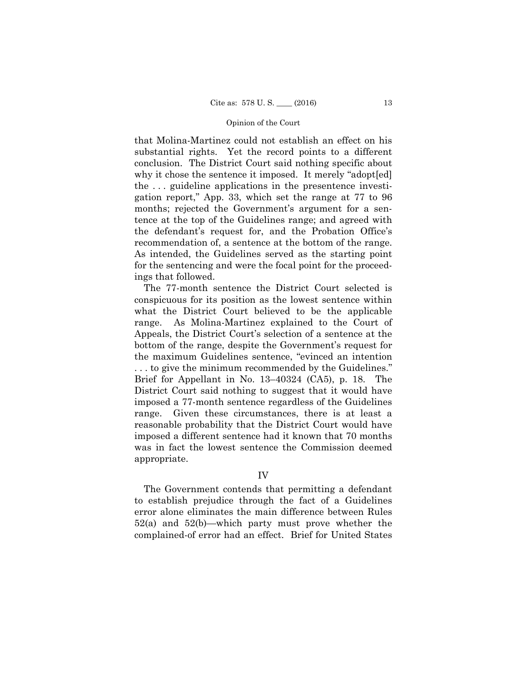that Molina-Martinez could not establish an effect on his substantial rights. Yet the record points to a different conclusion. The District Court said nothing specific about why it chose the sentence it imposed. It merely "adopted" the . . . guideline applications in the presentence investigation report," App. 33, which set the range at 77 to 96 months; rejected the Government's argument for a sentence at the top of the Guidelines range; and agreed with the defendant's request for, and the Probation Office's recommendation of, a sentence at the bottom of the range. As intended, the Guidelines served as the starting point for the sentencing and were the focal point for the proceedings that followed.

The 77-month sentence the District Court selected is conspicuous for its position as the lowest sentence within what the District Court believed to be the applicable range. As Molina-Martinez explained to the Court of Appeals, the District Court's selection of a sentence at the bottom of the range, despite the Government's request for the maximum Guidelines sentence, "evinced an intention . . . to give the minimum recommended by the Guidelines." Brief for Appellant in No. 13–40324 (CA5), p. 18. The District Court said nothing to suggest that it would have imposed a 77-month sentence regardless of the Guidelines range. Given these circumstances, there is at least a reasonable probability that the District Court would have imposed a different sentence had it known that 70 months was in fact the lowest sentence the Commission deemed appropriate.

## IV

The Government contends that permitting a defendant to establish prejudice through the fact of a Guidelines error alone eliminates the main difference between Rules 52(a) and 52(b)—which party must prove whether the complained-of error had an effect. Brief for United States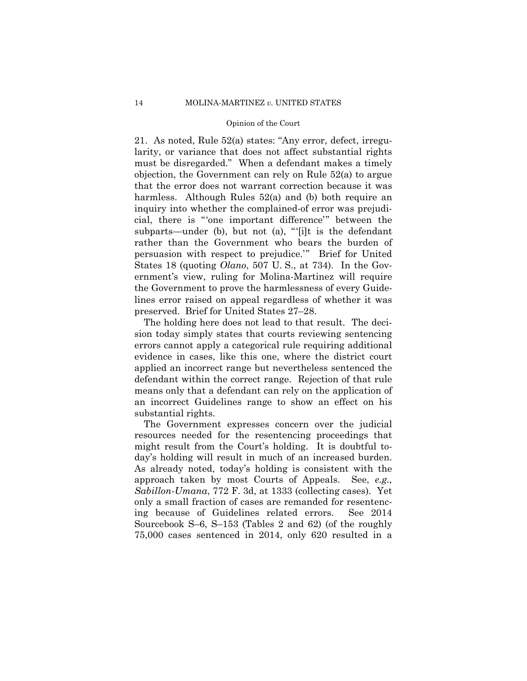21. As noted, Rule 52(a) states: "Any error, defect, irregularity, or variance that does not affect substantial rights must be disregarded." When a defendant makes a timely objection, the Government can rely on Rule 52(a) to argue that the error does not warrant correction because it was harmless. Although Rules 52(a) and (b) both require an inquiry into whether the complained-of error was prejudicial, there is "'one important difference'" between the subparts—under (b), but not (a), "'[i]t is the defendant rather than the Government who bears the burden of persuasion with respect to prejudice.'" Brief for United States 18 (quoting *Olano*, 507 U. S., at 734). In the Government's view, ruling for Molina-Martinez will require the Government to prove the harmlessness of every Guidelines error raised on appeal regardless of whether it was preserved. Brief for United States 27–28.

The holding here does not lead to that result. The decision today simply states that courts reviewing sentencing errors cannot apply a categorical rule requiring additional evidence in cases, like this one, where the district court applied an incorrect range but nevertheless sentenced the defendant within the correct range. Rejection of that rule means only that a defendant can rely on the application of an incorrect Guidelines range to show an effect on his substantial rights.

The Government expresses concern over the judicial resources needed for the resentencing proceedings that might result from the Court's holding. It is doubtful today's holding will result in much of an increased burden. As already noted, today's holding is consistent with the approach taken by most Courts of Appeals. See, *e.g., Sabillon-Umana*, 772 F. 3d, at 1333 (collecting cases). Yet only a small fraction of cases are remanded for resentencing because of Guidelines related errors. See 2014 Sourcebook S–6, S–153 (Tables 2 and 62) (of the roughly 75,000 cases sentenced in 2014, only 620 resulted in a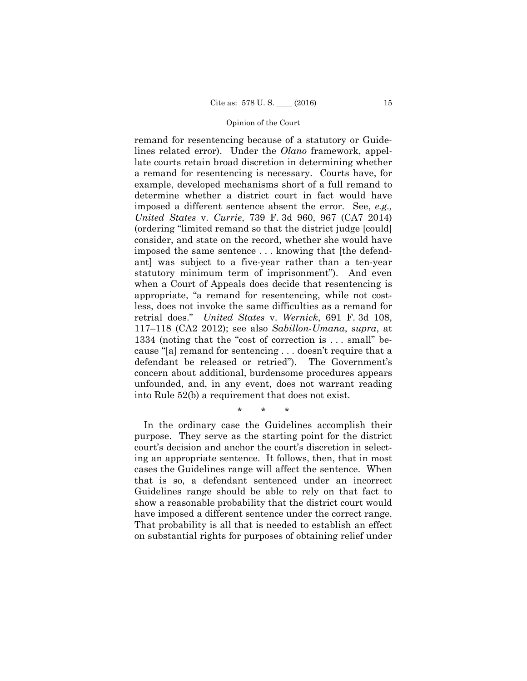remand for resentencing because of a statutory or Guidelines related error). Under the *Olano* framework, appellate courts retain broad discretion in determining whether a remand for resentencing is necessary. Courts have, for example, developed mechanisms short of a full remand to determine whether a district court in fact would have imposed a different sentence absent the error. See, *e.g., United States* v. *Currie*, 739 F. 3d 960, 967 (CA7 2014) (ordering "limited remand so that the district judge [could] consider, and state on the record, whether she would have imposed the same sentence . . . knowing that [the defendant] was subject to a five-year rather than a ten-year statutory minimum term of imprisonment"). And even when a Court of Appeals does decide that resentencing is appropriate, "a remand for resentencing, while not costless, does not invoke the same difficulties as a remand for retrial does." *United States* v. *Wernick*, 691 F. 3d 108, 117–118 (CA2 2012); see also *Sabillon-Umana*, *supra*, at 1334 (noting that the "cost of correction is . . . small" because "[a] remand for sentencing . . . doesn't require that a defendant be released or retried"). The Government's concern about additional, burdensome procedures appears unfounded, and, in any event, does not warrant reading into Rule 52(b) a requirement that does not exist.

\* \* \*

 have imposed a different sentence under the correct range. In the ordinary case the Guidelines accomplish their purpose. They serve as the starting point for the district court's decision and anchor the court's discretion in selecting an appropriate sentence. It follows, then, that in most cases the Guidelines range will affect the sentence. When that is so, a defendant sentenced under an incorrect Guidelines range should be able to rely on that fact to show a reasonable probability that the district court would That probability is all that is needed to establish an effect on substantial rights for purposes of obtaining relief under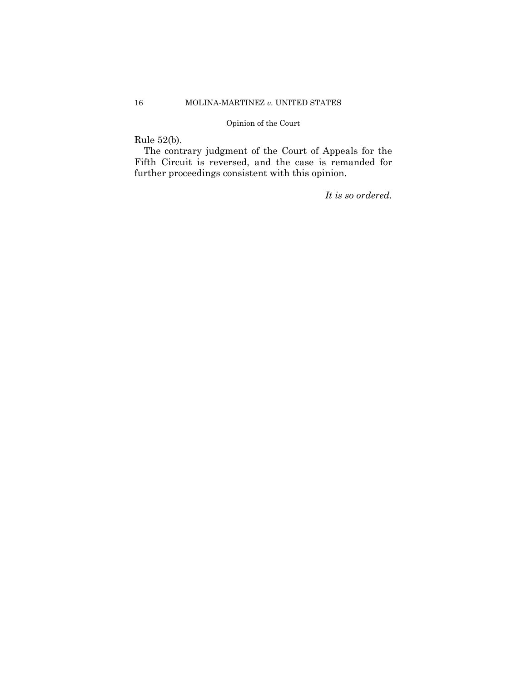# Rule 52(b).

The contrary judgment of the Court of Appeals for the Fifth Circuit is reversed, and the case is remanded for further proceedings consistent with this opinion.

*It is so ordered.*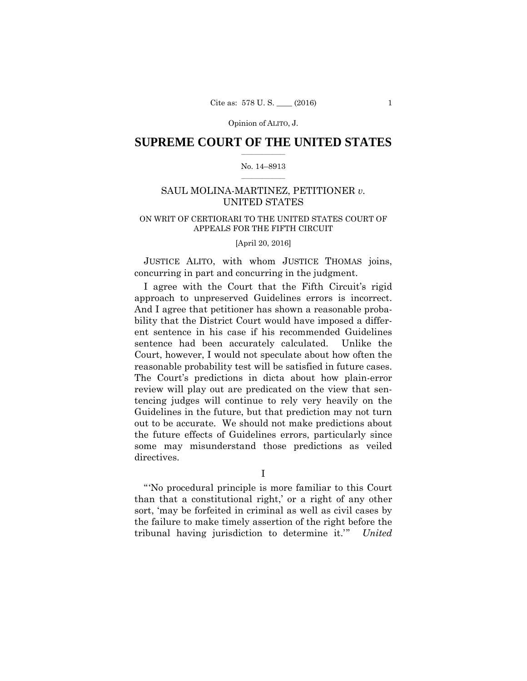## $\frac{1}{2}$  ,  $\frac{1}{2}$  ,  $\frac{1}{2}$  ,  $\frac{1}{2}$  ,  $\frac{1}{2}$  ,  $\frac{1}{2}$  ,  $\frac{1}{2}$ **SUPREME COURT OF THE UNITED STATES**

## $\frac{1}{2}$  ,  $\frac{1}{2}$  ,  $\frac{1}{2}$  ,  $\frac{1}{2}$  ,  $\frac{1}{2}$  ,  $\frac{1}{2}$ No. 14–8913

# SAUL MOLINA-MARTINEZ, PETITIONER *v.* UNITED STATES

# ON WRIT OF CERTIORARI TO THE UNITED STATES COURT OF APPEALS FOR THE FIFTH CIRCUIT

[April 20, 2016]

JUSTICE ALITO, with whom JUSTICE THOMAS joins, concurring in part and concurring in the judgment.

I agree with the Court that the Fifth Circuit's rigid approach to unpreserved Guidelines errors is incorrect. And I agree that petitioner has shown a reasonable probability that the District Court would have imposed a different sentence in his case if his recommended Guidelines sentence had been accurately calculated. Unlike the Court, however, I would not speculate about how often the reasonable probability test will be satisfied in future cases. The Court's predictions in dicta about how plain-error review will play out are predicated on the view that sentencing judges will continue to rely very heavily on the Guidelines in the future, but that prediction may not turn out to be accurate. We should not make predictions about the future effects of Guidelines errors, particularly since some may misunderstand those predictions as veiled directives.

I

 "'No procedural principle is more familiar to this Court than that a constitutional right,' or a right of any other sort, 'may be forfeited in criminal as well as civil cases by the failure to make timely assertion of the right before the tribunal having jurisdiction to determine it.'" *United*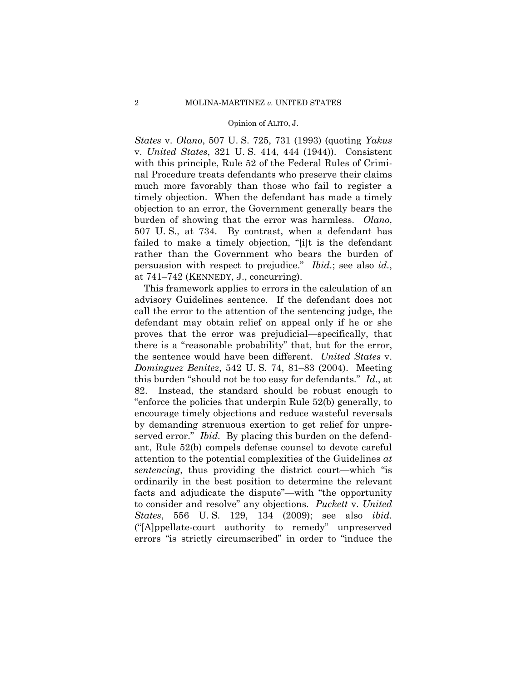*States* v. *Olano*, 507 U. S. 725, 731 (1993) (quoting *Yakus*  v. *United States*, 321 U. S. 414, 444 (1944)). Consistent with this principle, Rule 52 of the Federal Rules of Criminal Procedure treats defendants who preserve their claims much more favorably than those who fail to register a timely objection. When the defendant has made a timely objection to an error, the Government generally bears the burden of showing that the error was harmless. *Olano*, 507 U. S., at 734. By contrast, when a defendant has failed to make a timely objection, "[i]t is the defendant rather than the Government who bears the burden of persuasion with respect to prejudice." *Ibid.*; see also *id.*, at 741–742 (KENNEDY, J., concurring).

This framework applies to errors in the calculation of an advisory Guidelines sentence. If the defendant does not call the error to the attention of the sentencing judge, the defendant may obtain relief on appeal only if he or she proves that the error was prejudicial—specifically, that there is a "reasonable probability" that, but for the error, the sentence would have been different. *United States* v. *Dominguez Benitez*, 542 U. S. 74, 81–83 (2004). Meeting this burden "should not be too easy for defendants." *Id.*, at 82. Instead, the standard should be robust enough to "enforce the policies that underpin Rule 52(b) generally, to encourage timely objections and reduce wasteful reversals by demanding strenuous exertion to get relief for unpreserved error." *Ibid.* By placing this burden on the defendant, Rule 52(b) compels defense counsel to devote careful attention to the potential complexities of the Guidelines *at sentencing*, thus providing the district court—which "is ordinarily in the best position to determine the relevant facts and adjudicate the dispute"—with "the opportunity to consider and resolve" any objections. *Puckett* v. *United States*, 556 U. S. 129, 134 (2009); see also *ibid.*  ("[A]ppellate-court authority to remedy" unpreserved errors "is strictly circumscribed" in order to "induce the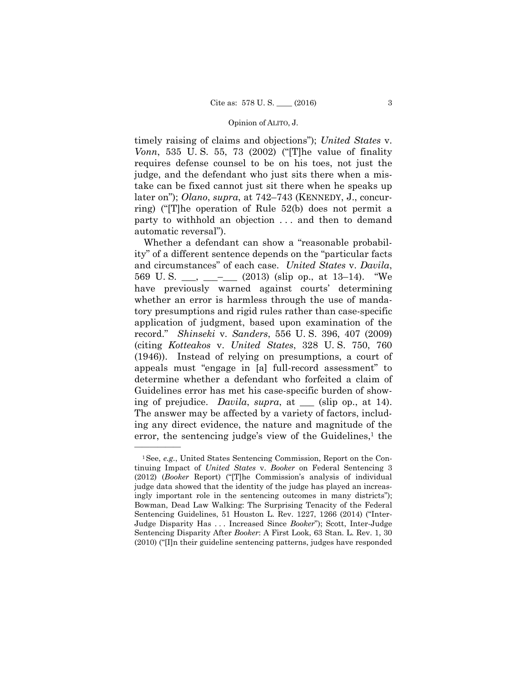timely raising of claims and objections"); *United States* v. *Vonn*, 535 U. S. 55, 73 (2002) ("[T]he value of finality requires defense counsel to be on his toes, not just the judge, and the defendant who just sits there when a mistake can be fixed cannot just sit there when he speaks up later on"); *Olano*, *supra*, at 742–743 (KENNEDY, J., concurring) ("[T]he operation of Rule 52(b) does not permit a party to withhold an objection . . . and then to demand automatic reversal").

Whether a defendant can show a "reasonable probability" of a different sentence depends on the "particular facts and circumstances" of each case. *United States* v. *Davila*, 569 U.S.  $\_\_\_\_\_\_\_\_\_\_$  (2013) (slip op., at 13–14). "We have previously warned against courts' determining whether an error is harmless through the use of mandatory presumptions and rigid rules rather than case-specific application of judgment, based upon examination of the record." *Shinseki* v. *Sanders*, 556 U. S. 396, 407 (2009) (citing *Kotteakos* v. *United States*, 328 U. S. 750, 760 (1946)). Instead of relying on presumptions, a court of appeals must "engage in [a] full-record assessment" to determine whether a defendant who forfeited a claim of Guidelines error has met his case-specific burden of showing of prejudice. *Davila*, *supra*, at \_\_\_ (slip op., at 14). The answer may be affected by a variety of factors, including any direct evidence, the nature and magnitude of the error, the sentencing judge's view of the Guidelines, $<sup>1</sup>$  the</sup>

<sup>1</sup>See, *e.g.*, United States Sentencing Commission, Report on the Continuing Impact of *United States* v. *Booker* on Federal Sentencing 3 (2012) (*Booker* Report) ("[T]he Commission's analysis of individual judge data showed that the identity of the judge has played an increasingly important role in the sentencing outcomes in many districts"); Bowman, Dead Law Walking: The Surprising Tenacity of the Federal Sentencing Guidelines, 51 Houston L. Rev. 1227, 1266 (2014) ("Inter-Judge Disparity Has . . . Increased Since *Booker*"); Scott, Inter-Judge Sentencing Disparity After *Booker*: A First Look, 63 Stan. L. Rev. 1, 30 (2010) ("[I]n their guideline sentencing patterns, judges have responded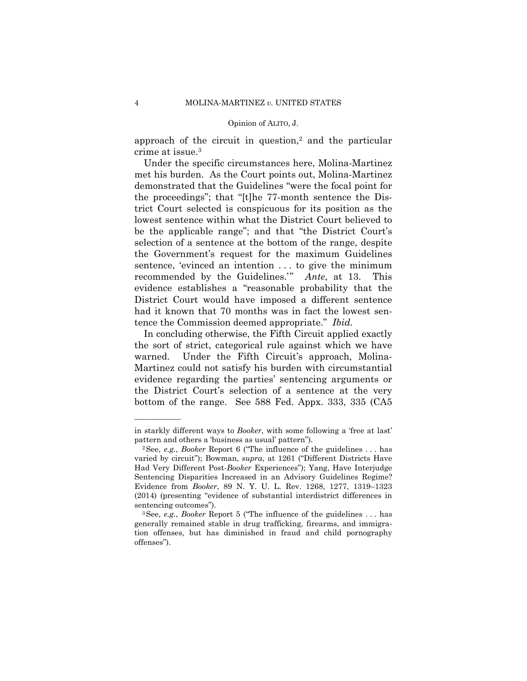approach of the circuit in question, $2$  and the particular crime at issue.3

Under the specific circumstances here, Molina-Martinez met his burden. As the Court points out, Molina-Martinez demonstrated that the Guidelines "were the focal point for the proceedings"; that "[t]he 77-month sentence the District Court selected is conspicuous for its position as the lowest sentence within what the District Court believed to be the applicable range"; and that "the District Court's selection of a sentence at the bottom of the range, despite the Government's request for the maximum Guidelines sentence, 'evinced an intention . . . to give the minimum recommended by the Guidelines.'" *Ante*, at 13. This evidence establishes a "reasonable probability that the District Court would have imposed a different sentence had it known that 70 months was in fact the lowest sentence the Commission deemed appropriate." *Ibid.* 

In concluding otherwise, the Fifth Circuit applied exactly the sort of strict, categorical rule against which we have warned. Under the Fifth Circuit's approach, Molina-Martinez could not satisfy his burden with circumstantial evidence regarding the parties' sentencing arguments or the District Court's selection of a sentence at the very bottom of the range. See 588 Fed. Appx. 333, 335 (CA5

in starkly different ways to *Booker*, with some following a 'free at last' pattern and others a 'business as usual' pattern").<br><sup>2</sup>See, *e.g.*, *Booker* Report 6 ("The influence of the guidelines . . . has

varied by circuit"); Bowman, *supra*, at 1261 ("Different Districts Have Had Very Different Post-*Booker* Experiences"); Yang, Have Interjudge Sentencing Disparities Increased in an Advisory Guidelines Regime? Evidence from *Booker*, 89 N. Y. U. L. Rev. 1268, 1277, 1319–1323 (2014) (presenting "evidence of substantial interdistrict differences in

sentencing outcomes"). 3See, *e.g.*, *Booker* Report 5 ("The influence of the guidelines . . . has generally remained stable in drug trafficking, firearms, and immigration offenses, but has diminished in fraud and child pornography offenses").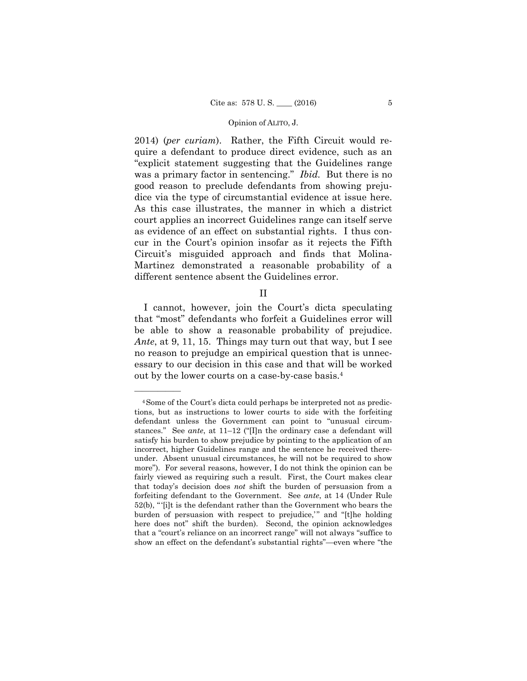2014) (*per curiam*). Rather, the Fifth Circuit would require a defendant to produce direct evidence, such as an "explicit statement suggesting that the Guidelines range was a primary factor in sentencing." *Ibid.* But there is no good reason to preclude defendants from showing prejudice via the type of circumstantial evidence at issue here. As this case illustrates, the manner in which a district court applies an incorrect Guidelines range can itself serve as evidence of an effect on substantial rights. I thus concur in the Court's opinion insofar as it rejects the Fifth Circuit's misguided approach and finds that Molina-Martinez demonstrated a reasonable probability of a different sentence absent the Guidelines error.

II

I cannot, however, join the Court's dicta speculating that "most" defendants who forfeit a Guidelines error will be able to show a reasonable probability of prejudice. *Ante*, at 9, 11, 15. Things may turn out that way, but I see no reason to prejudge an empirical question that is unnecessary to our decision in this case and that will be worked out by the lower courts on a case-by-case basis.4

<sup>4</sup>Some of the Court's dicta could perhaps be interpreted not as predictions, but as instructions to lower courts to side with the forfeiting defendant unless the Government can point to "unusual circumstances." See *ante*, at 11–12 ("[I]n the ordinary case a defendant will satisfy his burden to show prejudice by pointing to the application of an incorrect, higher Guidelines range and the sentence he received thereunder. Absent unusual circumstances, he will not be required to show more"). For several reasons, however, I do not think the opinion can be fairly viewed as requiring such a result. First, the Court makes clear that today's decision does *not* shift the burden of persuasion from a forfeiting defendant to the Government. See *ante*, at 14 (Under Rule 52(b), " '[i]t is the defendant rather than the Government who bears the burden of persuasion with respect to prejudice," and "[t]he holding here does not" shift the burden). Second, the opinion acknowledges that a "court's reliance on an incorrect range" will not always "suffice to show an effect on the defendant's substantial rights"—even where "the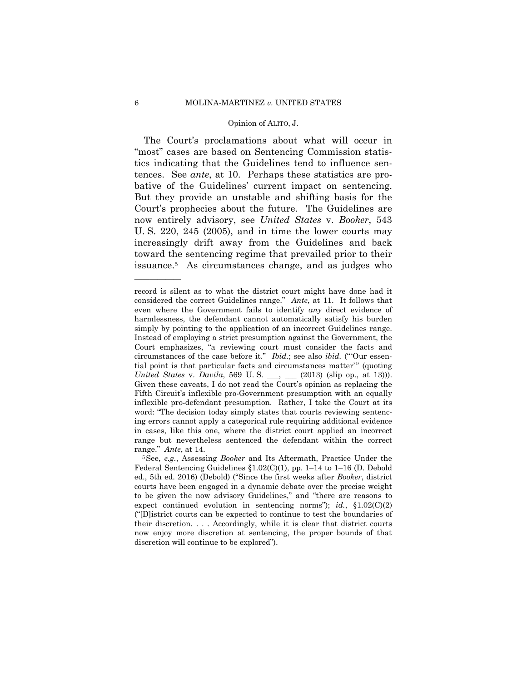The Court's proclamations about what will occur in "most" cases are based on Sentencing Commission statistics indicating that the Guidelines tend to influence sentences. See *ante*, at 10. Perhaps these statistics are probative of the Guidelines' current impact on sentencing. But they provide an unstable and shifting basis for the Court's prophecies about the future. The Guidelines are now entirely advisory, see *United States* v. *Booker*, 543 U. S. 220, 245 (2005), and in time the lower courts may increasingly drift away from the Guidelines and back toward the sentencing regime that prevailed prior to their issuance.5 As circumstances change, and as judges who

 considered the correct Guidelines range." *Ante*, at 11. It follows that simply by pointing to the application of an incorrect Guidelines range. circumstances of the case before it." *Ibid.*; see also *ibid.* (" 'Our essenrecord is silent as to what the district court might have done had it even where the Government fails to identify *any* direct evidence of harmlessness, the defendant cannot automatically satisfy his burden Instead of employing a strict presumption against the Government, the Court emphasizes, "a reviewing court must consider the facts and tial point is that particular facts and circumstances matter'" (quoting *United States v. Davila, 569 U.S.* \_\_, \_\_ (2013) (slip op., at 13))). Given these caveats, I do not read the Court's opinion as replacing the Fifth Circuit's inflexible pro-Government presumption with an equally inflexible pro-defendant presumption. Rather, I take the Court at its word: "The decision today simply states that courts reviewing sentencing errors cannot apply a categorical rule requiring additional evidence in cases, like this one, where the district court applied an incorrect range but nevertheless sentenced the defendant within the correct range." *Ante*, at 14.<br><sup>5</sup>See, *e.g.*, Assessing *Booker* and Its Aftermath, Practice Under the

Federal Sentencing Guidelines §1.02(C)(1), pp. 1–14 to 1–16 (D. Debold ed., 5th ed. 2016) (Debold) ("Since the first weeks after *Booker*, district courts have been engaged in a dynamic debate over the precise weight to be given the now advisory Guidelines," and "there are reasons to expect continued evolution in sentencing norms"); *id.*, §1.02(C)(2) ("[D]istrict courts can be expected to continue to test the boundaries of their discretion. . . . Accordingly, while it is clear that district courts now enjoy more discretion at sentencing, the proper bounds of that discretion will continue to be explored").